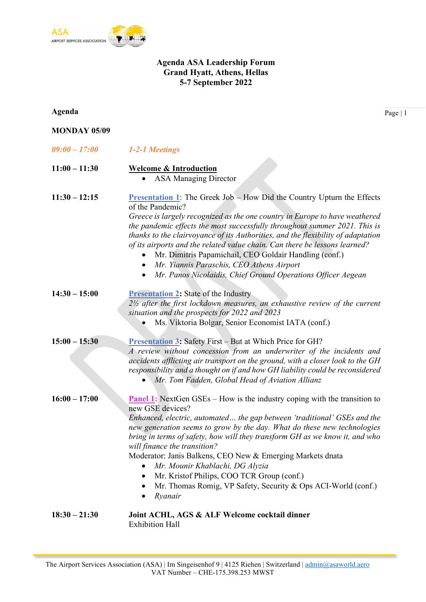

## Agenda ASA Leadership Forum Grand Hyatt, Athens, Hellas 5-7 September 2022

| Agenda              |                                                                                                                                                                                                                                                                                                                                                                                                                                                                                                                                                                                                                              | Page   1 |
|---------------------|------------------------------------------------------------------------------------------------------------------------------------------------------------------------------------------------------------------------------------------------------------------------------------------------------------------------------------------------------------------------------------------------------------------------------------------------------------------------------------------------------------------------------------------------------------------------------------------------------------------------------|----------|
| <b>MONDAY 05/09</b> |                                                                                                                                                                                                                                                                                                                                                                                                                                                                                                                                                                                                                              |          |
| $09:00 - 17:00$     | 1-2-1 Meetings                                                                                                                                                                                                                                                                                                                                                                                                                                                                                                                                                                                                               |          |
| $11:00 - 11:30$     | <b>Welcome &amp; Introduction</b><br><b>ASA Managing Director</b><br>$\bullet$                                                                                                                                                                                                                                                                                                                                                                                                                                                                                                                                               |          |
| $11:30 - 12:15$     | <b>Presentation 1:</b> The Greek Job - How Did the Country Upturn the Effects<br>of the Pandemic?<br>Greece is largely recognized as the one country in Europe to have weathered<br>the pandemic effects the most successfully throughout summer 2021. This is<br>thanks to the clairvoyance of its Authorities, and the flexibility of adaptation<br>of its airports and the related value chain. Can there be lessons learned?<br>Mr. Dimitris Papamichail, CEO Goldair Handling (conf.)<br>Mr. Yiannis Paraschis, CEO Athens Airport<br>$\bullet$<br>Mr. Panos Nicolaidis, Chief Ground Operations Officer Aegean         |          |
| $14:30 - 15:00$     | <b>Presentation 2:</b> State of the Industry<br>$2\frac{1}{2}$ after the first lockdown measures, an exhaustive review of the current<br>situation and the prospects for 2022 and 2023<br>Ms. Viktoria Bolgar, Senior Economist IATA (conf.)                                                                                                                                                                                                                                                                                                                                                                                 |          |
| $15:00 - 15:30$     | Presentation 3: Safety First - But at Which Price for GH?<br>A review without concession from an underwriter of the incidents and<br>accidents afflicting air transport on the ground, with a closer look to the GH<br>responsibility and a thought on if and how GH liability could be reconsidered<br>• Mr. Tom Fadden, Global Head of Aviation Allianz                                                                                                                                                                                                                                                                    |          |
| $16:00 - 17:00$     | <b>Panel 1:</b> NextGen GSEs – How is the industry coping with the transition to<br>new GSE devices?<br>Enhanced, electric, automated the gap between 'traditional' GSEs and the<br>new generation seems to grow by the day. What do these new technologies<br>bring in terms of safety, how will they transform GH as we know it, and who<br>will finance the transition?<br>Moderator: Janis Balkens, CEO New & Emerging Markets dnata<br>Mr. Mounir Khablachi, DG Alyzia<br>$\bullet$<br>Mr. Kristof Philips, COO TCR Group (conf.)<br>٠<br>Mr. Thomas Romig, VP Safety, Security & Ops ACI-World (conf.)<br>Ryanair<br>٠ |          |
| $18:30 - 21:30$     | Joint ACHL, AGS & ALF Welcome cocktail dinner<br><b>Exhibition Hall</b>                                                                                                                                                                                                                                                                                                                                                                                                                                                                                                                                                      |          |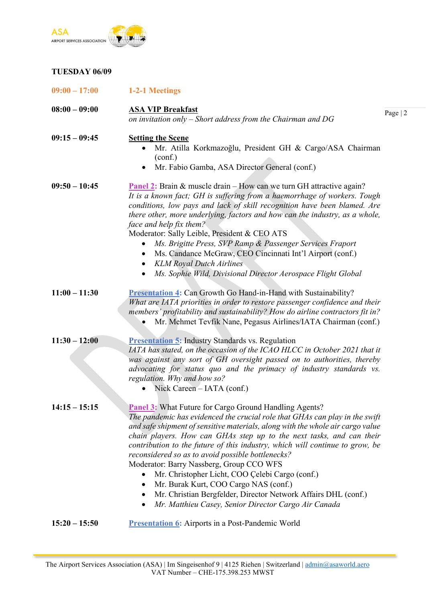

### TUESDAY 06/09

| $09:00 - 17:00$ | 1-2-1 Meetings                                                                                                                                                                                                                                                                                                                                                                                                                                                                                                                                                                                                                                                                                                                  |           |
|-----------------|---------------------------------------------------------------------------------------------------------------------------------------------------------------------------------------------------------------------------------------------------------------------------------------------------------------------------------------------------------------------------------------------------------------------------------------------------------------------------------------------------------------------------------------------------------------------------------------------------------------------------------------------------------------------------------------------------------------------------------|-----------|
| $08:00 - 09:00$ | <b>ASA VIP Breakfast</b><br>on invitation only $-$ Short address from the Chairman and DG                                                                                                                                                                                                                                                                                                                                                                                                                                                                                                                                                                                                                                       | Page $ 2$ |
| $09:15 - 09:45$ | <b>Setting the Scene</b><br>Mr. Atilla Korkmazoğlu, President GH & Cargo/ASA Chairman<br>(conf.)<br>Mr. Fabio Gamba, ASA Director General (conf.)<br>$\bullet$                                                                                                                                                                                                                                                                                                                                                                                                                                                                                                                                                                  |           |
| $09:50 - 10:45$ | Panel 2: Brain & muscle drain – How can we turn GH attractive again?<br>It is a known fact; GH is suffering from a haemorrhage of workers. Tough<br>conditions, low pays and lack of skill recognition have been blamed. Are<br>there other, more underlying, factors and how can the industry, as a whole,<br>face and help fix them?<br>Moderator: Sally Leible, President & CEO ATS<br>Ms. Brigitte Press, SVP Ramp & Passenger Services Fraport<br>Ms. Candance McGraw, CEO Cincinnati Int'l Airport (conf.)<br>$\bullet$<br><b>KLM Royal Dutch Airlines</b><br>$\bullet$<br>Ms. Sophie Wild, Divisional Director Aerospace Flight Global                                                                                   |           |
| $11:00 - 11:30$ | <b>Presentation 4:</b> Can Growth Go Hand-in-Hand with Sustainability?<br>What are IATA priorities in order to restore passenger confidence and their<br>members' profitability and sustainability? How do airline contractors fit in?<br>Mr. Mehmet Tevfik Nane, Pegasus Airlines/IATA Chairman (conf.)<br>$\bullet$                                                                                                                                                                                                                                                                                                                                                                                                           |           |
| $11:30 - 12:00$ | <b>Presentation 5:</b> Industry Standards vs. Regulation<br>IATA has stated, on the occasion of the ICAO HLCC in October 2021 that it<br>was against any sort of GH oversight passed on to authorities, thereby<br>advocating for status quo and the primacy of industry standards vs.<br>regulation. Why and how so?<br>Nick Careen - IATA (conf.)                                                                                                                                                                                                                                                                                                                                                                             |           |
| $14:15 - 15:15$ | <b>Panel 3:</b> What Future for Cargo Ground Handling Agents?<br>The pandemic has evidenced the crucial role that GHAs can play in the swift<br>and safe shipment of sensitive materials, along with the whole air cargo value<br>chain players. How can GHAs step up to the next tasks, and can their<br>contribution to the future of this industry, which will continue to grow, be<br>reconsidered so as to avoid possible bottlenecks?<br>Moderator: Barry Nassberg, Group CCO WFS<br>Mr. Christopher Licht, COO Çelebi Cargo (conf.)<br>Mr. Burak Kurt, COO Cargo NAS (conf.)<br>٠<br>Mr. Christian Bergfelder, Director Network Affairs DHL (conf.)<br>$\bullet$<br>Mr. Matthieu Casey, Senior Director Cargo Air Canada |           |
| $15:20 - 15:50$ | <b>Presentation 6:</b> Airports in a Post-Pandemic World                                                                                                                                                                                                                                                                                                                                                                                                                                                                                                                                                                                                                                                                        |           |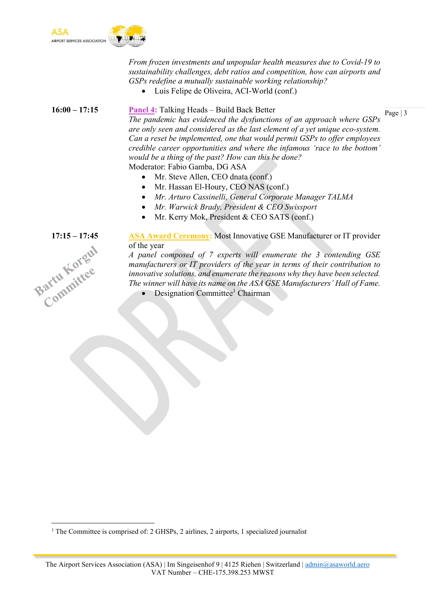

From frozen investments and unpopular health measures due to Covid-19 to sustainability challenges, debt ratios and competition, how can airports and GSPs redefine a mutually sustainable working relationship?

Luis Felipe de Oliveira, ACI-World (conf.)

Page | 3 16:00 – 17:15 Panel 4: Talking Heads – Build Back Better The pandemic has evidenced the dysfunctions of an approach where GSPs are only seen and considered as the last element of a yet unique eco-system. Can a reset be implemented, one that would permit GSPs to offer employees credible career opportunities and where the infamous 'race to the bottom' would be a thing of the past? How can this be done? Moderator: Fabio Gamba, DG ASA

- Mr. Steve Allen, CEO dnata (conf.)
- Mr. Hassan El-Houry, CEO NAS (conf.)
- Mr. Arturo Cassinelli, General Corporate Manager TALMA
- Mr. Warwick Brady, President & CEO Swissport
- Mr. Kerry Mok, President & CEO SATS (conf.)

### 17:15 – 17:45 ASA Award Ceremony: Most Innovative GSE Manufacturer or IT provider of the year

Bartu Korgul

A panel composed of 7 experts will enumerate the 3 contending GSE manufacturers or IT providers of the year in terms of their contribution to innovative solutions, and enumerate the reasons why they have been selected. The winner will have its name on the ASA GSE Manufacturers' Hall of Fame.

• Designation Committee<sup>1</sup> Chairman

<sup>&</sup>lt;sup>1</sup> The Committee is comprised of: 2 GHSPs, 2 airlines, 2 airports, 1 specialized journalist